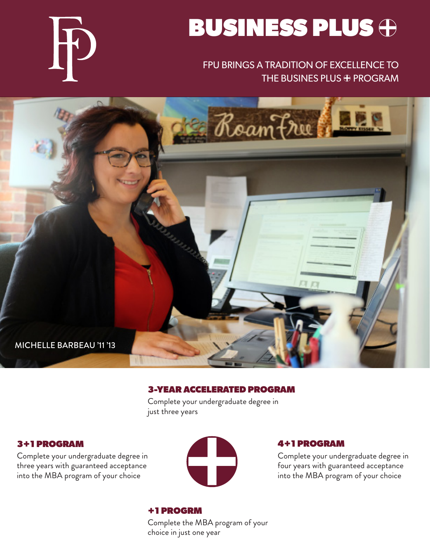

## FPU BRINGS A TRADITION OF EXCELLENCE TO THE BUSINES PLUS  $\oplus$  PROGRAM





#### 3-YEAR ACCELERATED PROGRAM

Complete your undergraduate degree in just three years

#### 3+1 PROGRAM

Complete your undergraduate degree in three years with guaranteed acceptance into the MBA program of your choice



#### 4+1 PROGRAM

Complete your undergraduate degree in four years with guaranteed acceptance into the MBA program of your choice

## +1 PROGRM

Complete the MBA program of your choice in just one year